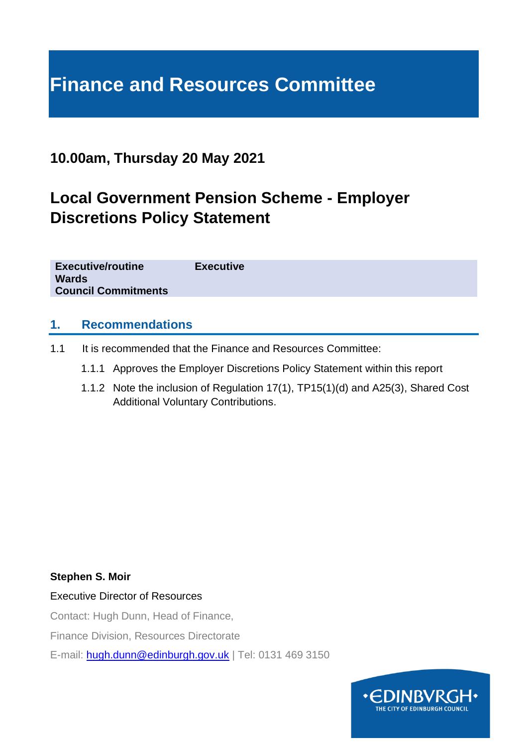# **Finance and Resources Committee**

## **10.00am, Thursday 20 May 2021**

## **Local Government Pension Scheme - Employer Discretions Policy Statement**

**Executive/routine Executive Wards Council Commitments**

### **1. Recommendations**

- 1.1 It is recommended that the Finance and Resources Committee:
	- 1.1.1 Approves the Employer Discretions Policy Statement within this report
	- 1.1.2 Note the inclusion of Regulation 17(1), TP15(1)(d) and A25(3), Shared Cost Additional Voluntary Contributions.

#### **Stephen S. Moir**

Executive Director of Resources

Contact: Hugh Dunn, Head of Finance,

Finance Division, Resources Directorate

E-mail: [hugh.dunn@edinburgh.gov.uk](mailto:hugh.dunn@edinburgh.gov.uk) | Tel: 0131 469 3150

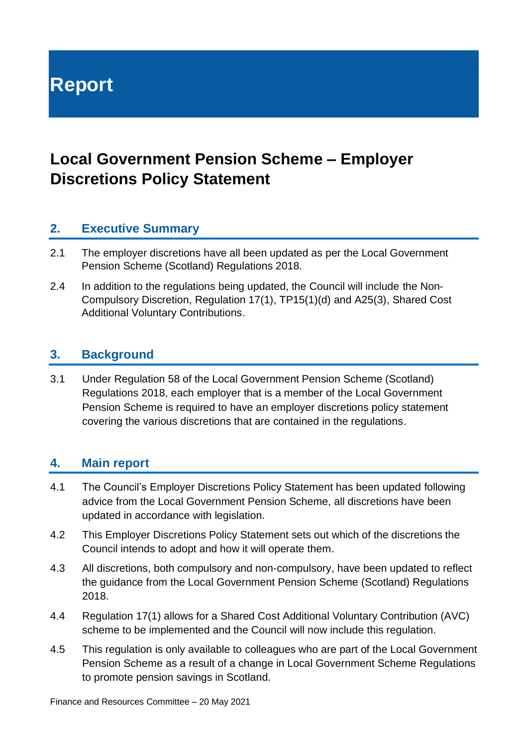**Report**

## **Local Government Pension Scheme – Employer Discretions Policy Statement**

## **2. Executive Summary**

- 2.1 The employer discretions have all been updated as per the Local Government Pension Scheme (Scotland) Regulations 2018.
- 2.4 In addition to the regulations being updated, the Council will include the Non-Compulsory Discretion, Regulation 17(1), TP15(1)(d) and A25(3), Shared Cost Additional Voluntary Contributions.

### **3. Background**

3.1 Under Regulation 58 of the Local Government Pension Scheme (Scotland) Regulations 2018, each employer that is a member of the Local Government Pension Scheme is required to have an employer discretions policy statement covering the various discretions that are contained in the regulations.

### **4. Main report**

- 4.1 The Council's Employer Discretions Policy Statement has been updated following advice from the Local Government Pension Scheme, all discretions have been updated in accordance with legislation.
- 4.2 This Employer Discretions Policy Statement sets out which of the discretions the Council intends to adopt and how it will operate them.
- 4.3 All discretions, both compulsory and non-compulsory, have been updated to reflect the guidance from the Local Government Pension Scheme (Scotland) Regulations 2018.
- 4.4 Regulation 17(1) allows for a Shared Cost Additional Voluntary Contribution (AVC) scheme to be implemented and the Council will now include this regulation.
- 4.5 This regulation is only available to colleagues who are part of the Local Government Pension Scheme as a result of a change in Local Government Scheme Regulations to promote pension savings in Scotland.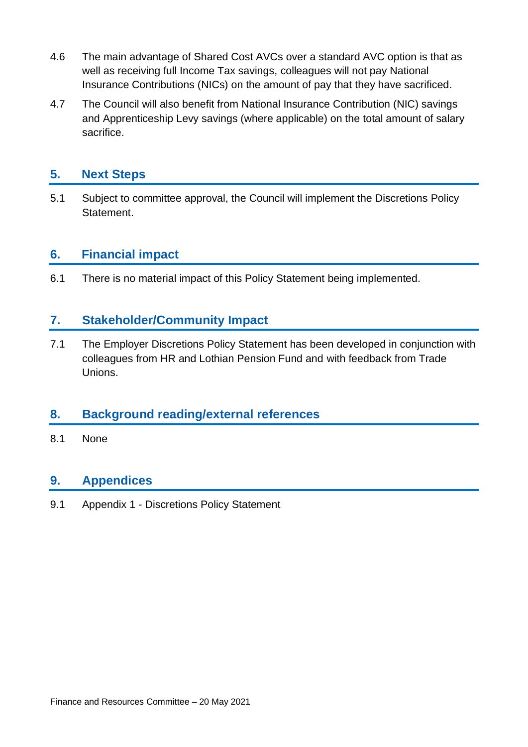- 4.6 The main advantage of Shared Cost AVCs over a standard AVC option is that as well as receiving full Income Tax savings, colleagues will not pay National Insurance Contributions (NICs) on the amount of pay that they have sacrificed.
- 4.7 The Council will also benefit from National Insurance Contribution (NIC) savings and Apprenticeship Levy savings (where applicable) on the total amount of salary sacrifice.

## **5. Next Steps**

5.1 Subject to committee approval, the Council will implement the Discretions Policy Statement.

## **6. Financial impact**

6.1 There is no material impact of this Policy Statement being implemented.

## **7. Stakeholder/Community Impact**

7.1 The Employer Discretions Policy Statement has been developed in conjunction with colleagues from HR and Lothian Pension Fund and with feedback from Trade Unions.

## **8. Background reading/external references**

8.1 None

## **9. Appendices**

9.1 Appendix 1 - Discretions Policy Statement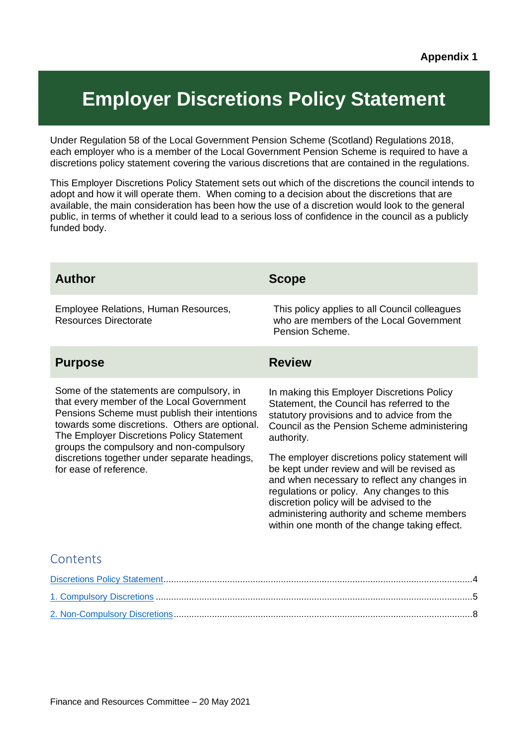# <span id="page-3-0"></span>**Employer Discretions Policy Statement**

Under Regulation 58 of the Local Government Pension Scheme (Scotland) Regulations 2018, each employer who is a member of the Local Government Pension Scheme is required to have a discretions policy statement covering the various discretions that are contained in the regulations.

This Employer Discretions Policy Statement sets out which of the discretions the council intends to adopt and how it will operate them. When coming to a decision about the discretions that are available, the main consideration has been how the use of a discretion would look to the general public, in terms of whether it could lead to a serious loss of confidence in the council as a publicly funded body.

| <b>Author</b>                                                                                                                                                                                                                                                                                                                                                 | <b>Scope</b>                                                                                                                                                                                                                                                                                                                                                                                                                                                                                                                                   |
|---------------------------------------------------------------------------------------------------------------------------------------------------------------------------------------------------------------------------------------------------------------------------------------------------------------------------------------------------------------|------------------------------------------------------------------------------------------------------------------------------------------------------------------------------------------------------------------------------------------------------------------------------------------------------------------------------------------------------------------------------------------------------------------------------------------------------------------------------------------------------------------------------------------------|
| Employee Relations, Human Resources,<br><b>Resources Directorate</b>                                                                                                                                                                                                                                                                                          | This policy applies to all Council colleagues<br>who are members of the Local Government<br>Pension Scheme.                                                                                                                                                                                                                                                                                                                                                                                                                                    |
| <b>Purpose</b>                                                                                                                                                                                                                                                                                                                                                | <b>Review</b>                                                                                                                                                                                                                                                                                                                                                                                                                                                                                                                                  |
| Some of the statements are compulsory, in<br>that every member of the Local Government<br>Pensions Scheme must publish their intentions<br>towards some discretions. Others are optional.<br>The Employer Discretions Policy Statement<br>groups the compulsory and non-compulsory<br>discretions together under separate headings,<br>for ease of reference. | In making this Employer Discretions Policy<br>Statement, the Council has referred to the<br>statutory provisions and to advice from the<br>Council as the Pension Scheme administering<br>authority.<br>The employer discretions policy statement will<br>be kept under review and will be revised as<br>and when necessary to reflect any changes in<br>regulations or policy. Any changes to this<br>discretion policy will be advised to the<br>administering authority and scheme members<br>within one month of the change taking effect. |
| Contents                                                                                                                                                                                                                                                                                                                                                      |                                                                                                                                                                                                                                                                                                                                                                                                                                                                                                                                                |
|                                                                                                                                                                                                                                                                                                                                                               |                                                                                                                                                                                                                                                                                                                                                                                                                                                                                                                                                |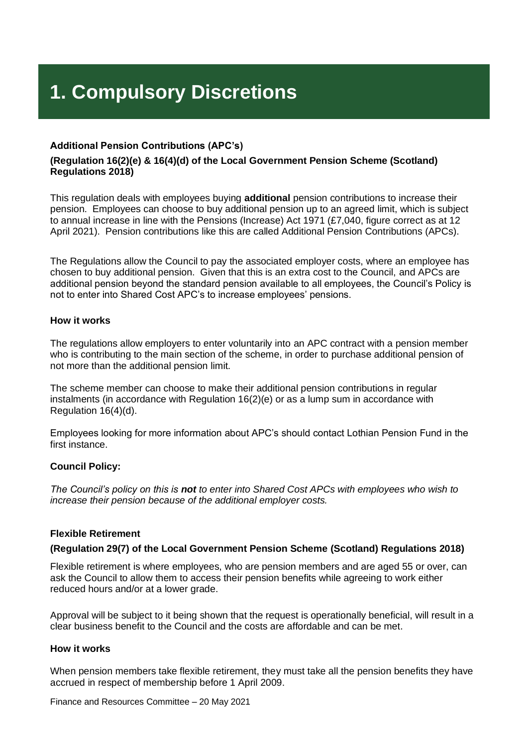# <span id="page-4-0"></span>**1. Compulsory Discretions**

#### **Additional Pension Contributions (APC's)**

#### **(Regulation 16(2)(e) & 16(4)(d) of the Local Government Pension Scheme (Scotland) Regulations 2018)**

This regulation deals with employees buying **additional** pension contributions to increase their pension. Employees can choose to buy additional pension up to an agreed limit, which is subject to annual increase in line with the Pensions (Increase) Act 1971 (£7,040, figure correct as at 12 April 2021). Pension contributions like this are called Additional Pension Contributions (APCs).

The Regulations allow the Council to pay the associated employer costs, where an employee has chosen to buy additional pension. Given that this is an extra cost to the Council, and APCs are additional pension beyond the standard pension available to all employees, the Council's Policy is not to enter into Shared Cost APC's to increase employees' pensions.

#### **How it works**

The regulations allow employers to enter voluntarily into an APC contract with a pension member who is contributing to the main section of the scheme, in order to purchase additional pension of not more than the additional pension limit.

The scheme member can choose to make their additional pension contributions in regular instalments (in accordance with Regulation 16(2)(e) or as a lump sum in accordance with Regulation 16(4)(d).

Employees looking for more information about APC's should contact Lothian Pension Fund in the first instance.

#### **Council Policy:**

*The Council's policy on this is not to enter into Shared Cost APCs with employees who wish to increase their pension because of the additional employer costs.*

#### **Flexible Retirement**

#### **(Regulation 29(7) of the Local Government Pension Scheme (Scotland) Regulations 2018)**

Flexible retirement is where employees, who are pension members and are aged 55 or over, can ask the Council to allow them to access their pension benefits while agreeing to work either reduced hours and/or at a lower grade.

Approval will be subject to it being shown that the request is operationally beneficial, will result in a clear business benefit to the Council and the costs are affordable and can be met.

#### **How it works**

When pension members take flexible retirement, they must take all the pension benefits they have accrued in respect of membership before 1 April 2009.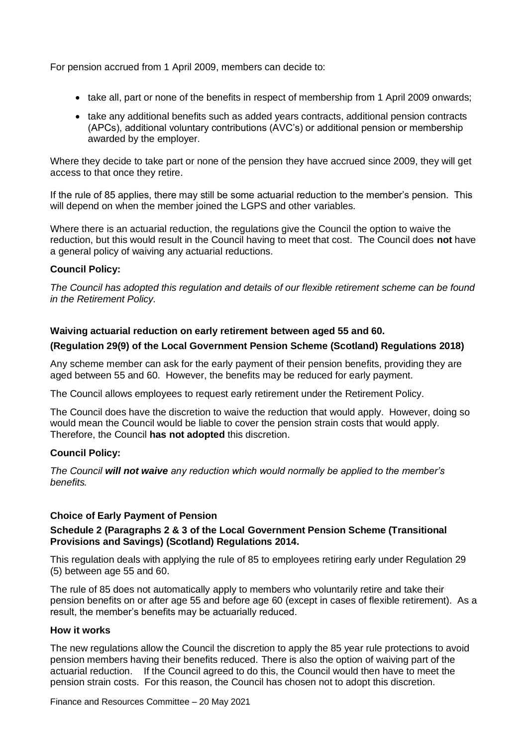For pension accrued from 1 April 2009, members can decide to:

- take all, part or none of the benefits in respect of membership from 1 April 2009 onwards:
- take any additional benefits such as added years contracts, additional pension contracts (APCs), additional voluntary contributions (AVC's) or additional pension or membership awarded by the employer.

Where they decide to take part or none of the pension they have accrued since 2009, they will get access to that once they retire.

If the rule of 85 applies, there may still be some actuarial reduction to the member's pension. This will depend on when the member joined the LGPS and other variables.

Where there is an actuarial reduction, the regulations give the Council the option to waive the reduction, but this would result in the Council having to meet that cost. The Council does **not** have a general policy of waiving any actuarial reductions.

#### **Council Policy:**

*The Council has adopted this regulation and details of our flexible retirement scheme can be found in the Retirement Policy.*

#### **Waiving actuarial reduction on early retirement between aged 55 and 60.**

#### **(Regulation 29(9) of the Local Government Pension Scheme (Scotland) Regulations 2018)**

Any scheme member can ask for the early payment of their pension benefits, providing they are aged between 55 and 60. However, the benefits may be reduced for early payment.

The Council allows employees to request early retirement under the Retirement Policy.

The Council does have the discretion to waive the reduction that would apply. However, doing so would mean the Council would be liable to cover the pension strain costs that would apply. Therefore, the Council **has not adopted** this discretion.

#### **Council Policy:**

*The Council will not waive any reduction which would normally be applied to the member's benefits.*

#### **Choice of Early Payment of Pension**

#### **Schedule 2 (Paragraphs 2 & 3 of the Local Government Pension Scheme (Transitional Provisions and Savings) (Scotland) Regulations 2014.**

This regulation deals with applying the rule of 85 to employees retiring early under Regulation 29 (5) between age 55 and 60.

The rule of 85 does not automatically apply to members who voluntarily retire and take their pension benefits on or after age 55 and before age 60 (except in cases of flexible retirement). As a result, the member's benefits may be actuarially reduced.

#### **How it works**

The new regulations allow the Council the discretion to apply the 85 year rule protections to avoid pension members having their benefits reduced. There is also the option of waiving part of the actuarial reduction. If the Council agreed to do this, the Council would then have to meet the pension strain costs. For this reason, the Council has chosen not to adopt this discretion.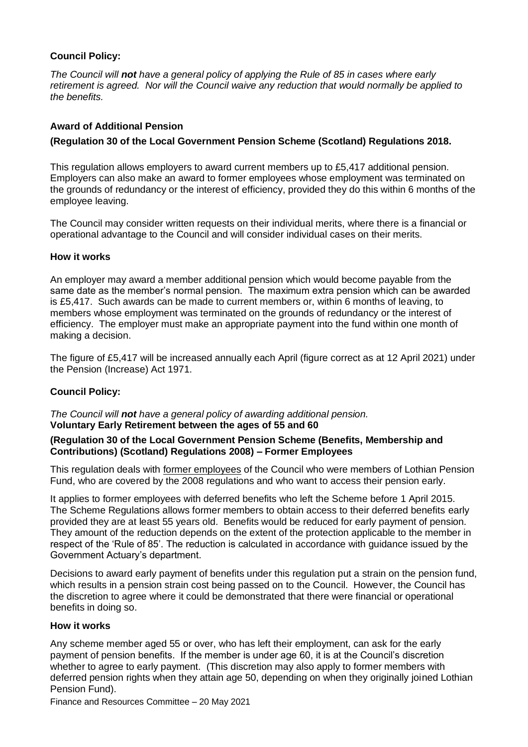#### **Council Policy:**

*The Council will not have a general policy of applying the Rule of 85 in cases where early retirement is agreed. Nor will the Council waive any reduction that would normally be applied to the benefits.*

#### **Award of Additional Pension**

#### **(Regulation 30 of the Local Government Pension Scheme (Scotland) Regulations 2018.**

This regulation allows employers to award current members up to £5,417 additional pension. Employers can also make an award to former employees whose employment was terminated on the grounds of redundancy or the interest of efficiency, provided they do this within 6 months of the employee leaving.

The Council may consider written requests on their individual merits, where there is a financial or operational advantage to the Council and will consider individual cases on their merits.

#### **How it works**

An employer may award a member additional pension which would become payable from the same date as the member's normal pension. The maximum extra pension which can be awarded is £5,417. Such awards can be made to current members or, within 6 months of leaving, to members whose employment was terminated on the grounds of redundancy or the interest of efficiency. The employer must make an appropriate payment into the fund within one month of making a decision.

The figure of £5,417 will be increased annually each April (figure correct as at 12 April 2021) under the Pension (Increase) Act 1971.

#### **Council Policy:**

#### *The Council will not have a general policy of awarding additional pension.* **Voluntary Early Retirement between the ages of 55 and 60**

#### **(Regulation 30 of the Local Government Pension Scheme (Benefits, Membership and Contributions) (Scotland) Regulations 2008) – Former Employees**

This regulation deals with former employees of the Council who were members of Lothian Pension Fund, who are covered by the 2008 regulations and who want to access their pension early.

It applies to former employees with deferred benefits who left the Scheme before 1 April 2015. The Scheme Regulations allows former members to obtain access to their deferred benefits early provided they are at least 55 years old. Benefits would be reduced for early payment of pension. They amount of the reduction depends on the extent of the protection applicable to the member in respect of the 'Rule of 85'. The reduction is calculated in accordance with guidance issued by the Government Actuary's department.

Decisions to award early payment of benefits under this regulation put a strain on the pension fund, which results in a pension strain cost being passed on to the Council. However, the Council has the discretion to agree where it could be demonstrated that there were financial or operational benefits in doing so.

#### **How it works**

Any scheme member aged 55 or over, who has left their employment, can ask for the early payment of pension benefits. If the member is under age 60, it is at the Council's discretion whether to agree to early payment. (This discretion may also apply to former members with deferred pension rights when they attain age 50, depending on when they originally joined Lothian Pension Fund).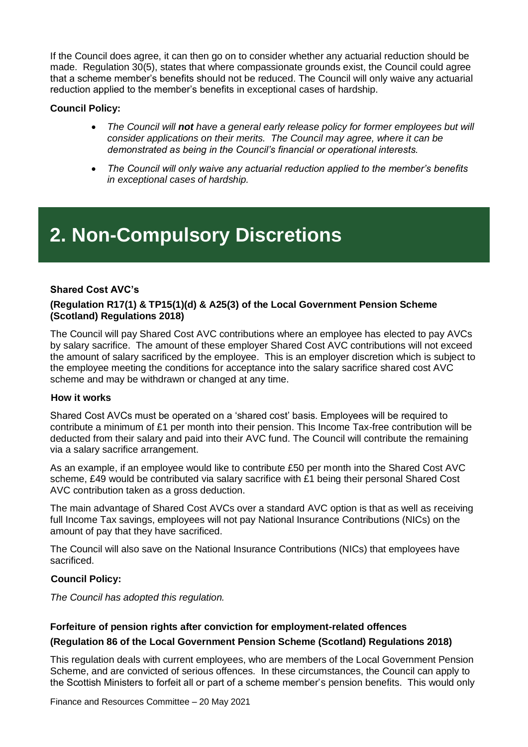If the Council does agree, it can then go on to consider whether any actuarial reduction should be made. Regulation 30(5), states that where compassionate grounds exist, the Council could agree that a scheme member's benefits should not be reduced. The Council will only waive any actuarial reduction applied to the member's benefits in exceptional cases of hardship.

#### **Council Policy:**

- *The Council will not have a general early release policy for former employees but will consider applications on their merits. The Council may agree, where it can be demonstrated as being in the Council's financial or operational interests.*
- *The Council will only waive any actuarial reduction applied to the member's benefits in exceptional cases of hardship.*

# <span id="page-7-0"></span>**2. Non-Compulsory Discretions**

#### **Shared Cost AVC's**

#### **(Regulation R17(1) & TP15(1)(d) & A25(3) of the Local Government Pension Scheme (Scotland) Regulations 2018)**

The Council will pay Shared Cost AVC contributions where an employee has elected to pay AVCs by salary sacrifice. The amount of these employer Shared Cost AVC contributions will not exceed the amount of salary sacrificed by the employee. This is an employer discretion which is subject to the employee meeting the conditions for acceptance into the salary sacrifice shared cost AVC scheme and may be withdrawn or changed at any time.

#### **How it works**

Shared Cost AVCs must be operated on a 'shared cost' basis. Employees will be required to contribute a minimum of £1 per month into their pension. This Income Tax-free contribution will be deducted from their salary and paid into their AVC fund. The Council will contribute the remaining via a salary sacrifice arrangement.

As an example, if an employee would like to contribute £50 per month into the Shared Cost AVC scheme, £49 would be contributed via salary sacrifice with £1 being their personal Shared Cost AVC contribution taken as a gross deduction.

The main advantage of Shared Cost AVCs over a standard AVC option is that as well as receiving full Income Tax savings, employees will not pay National Insurance Contributions (NICs) on the amount of pay that they have sacrificed.

The Council will also save on the National Insurance Contributions (NICs) that employees have sacrificed.

#### **Council Policy:**

*The Council has adopted this regulation.*

#### **Forfeiture of pension rights after conviction for employment-related offences (Regulation 86 of the Local Government Pension Scheme (Scotland) Regulations 2018)**

This regulation deals with current employees, who are members of the Local Government Pension Scheme, and are convicted of serious offences. In these circumstances, the Council can apply to the Scottish Ministers to forfeit all or part of a scheme member's pension benefits. This would only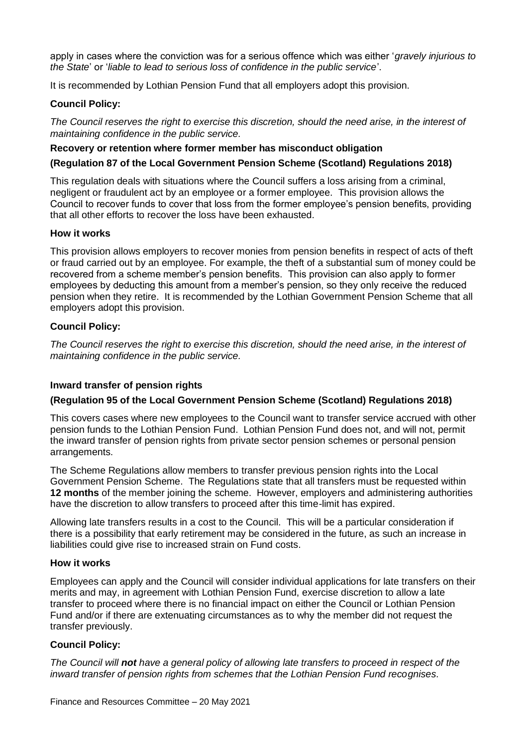apply in cases where the conviction was for a serious offence which was either '*gravely injurious to the State*' or '*liable to lead to serious loss of confidence in the public service*'.

It is recommended by Lothian Pension Fund that all employers adopt this provision.

#### **Council Policy:**

*The Council reserves the right to exercise this discretion, should the need arise, in the interest of maintaining confidence in the public service.*

#### **Recovery or retention where former member has misconduct obligation**

#### **(Regulation 87 of the Local Government Pension Scheme (Scotland) Regulations 2018)**

This regulation deals with situations where the Council suffers a loss arising from a criminal, negligent or fraudulent act by an employee or a former employee. This provision allows the Council to recover funds to cover that loss from the former employee's pension benefits, providing that all other efforts to recover the loss have been exhausted.

#### **How it works**

This provision allows employers to recover monies from pension benefits in respect of acts of theft or fraud carried out by an employee. For example, the theft of a substantial sum of money could be recovered from a scheme member's pension benefits. This provision can also apply to former employees by deducting this amount from a member's pension, so they only receive the reduced pension when they retire. It is recommended by the Lothian Government Pension Scheme that all employers adopt this provision.

#### **Council Policy:**

*The Council reserves the right to exercise this discretion, should the need arise, in the interest of maintaining confidence in the public service.*

#### **Inward transfer of pension rights**

#### **(Regulation 95 of the Local Government Pension Scheme (Scotland) Regulations 2018)**

This covers cases where new employees to the Council want to transfer service accrued with other pension funds to the Lothian Pension Fund. Lothian Pension Fund does not, and will not, permit the inward transfer of pension rights from private sector pension schemes or personal pension arrangements.

The Scheme Regulations allow members to transfer previous pension rights into the Local Government Pension Scheme. The Regulations state that all transfers must be requested within **12 months** of the member joining the scheme. However, employers and administering authorities have the discretion to allow transfers to proceed after this time-limit has expired.

Allowing late transfers results in a cost to the Council. This will be a particular consideration if there is a possibility that early retirement may be considered in the future, as such an increase in liabilities could give rise to increased strain on Fund costs.

#### **How it works**

Employees can apply and the Council will consider individual applications for late transfers on their merits and may, in agreement with Lothian Pension Fund, exercise discretion to allow a late transfer to proceed where there is no financial impact on either the Council or Lothian Pension Fund and/or if there are extenuating circumstances as to why the member did not request the transfer previously.

#### **Council Policy:**

*The Council will not have a general policy of allowing late transfers to proceed in respect of the inward transfer of pension rights from schemes that the Lothian Pension Fund recognises*.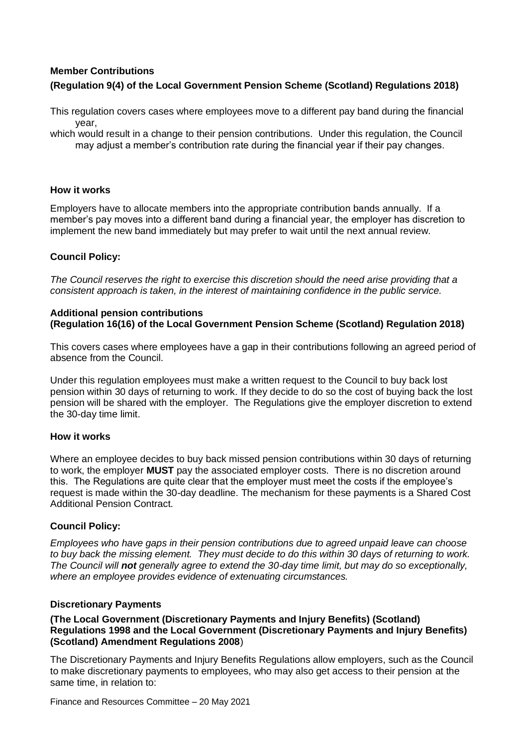### **Member Contributions (Regulation 9(4) of the Local Government Pension Scheme (Scotland) Regulations 2018)**

This regulation covers cases where employees move to a different pay band during the financial year,

which would result in a change to their pension contributions. Under this regulation, the Council may adjust a member's contribution rate during the financial year if their pay changes.

#### **How it works**

Employers have to allocate members into the appropriate contribution bands annually. If a member's pay moves into a different band during a financial year, the employer has discretion to implement the new band immediately but may prefer to wait until the next annual review.

#### **Council Policy:**

*The Council reserves the right to exercise this discretion should the need arise providing that a consistent approach is taken, in the interest of maintaining confidence in the public service.*

#### **Additional pension contributions (Regulation 16(16) of the Local Government Pension Scheme (Scotland) Regulation 2018)**

This covers cases where employees have a gap in their contributions following an agreed period of absence from the Council.

Under this regulation employees must make a written request to the Council to buy back lost pension within 30 days of returning to work. If they decide to do so the cost of buying back the lost pension will be shared with the employer. The Regulations give the employer discretion to extend the 30-day time limit.

#### **How it works**

Where an employee decides to buy back missed pension contributions within 30 days of returning to work, the employer **MUST** pay the associated employer costs. There is no discretion around this. The Regulations are quite clear that the employer must meet the costs if the employee's request is made within the 30-day deadline. The mechanism for these payments is a Shared Cost Additional Pension Contract.

#### **Council Policy:**

*Employees who have gaps in their pension contributions due to agreed unpaid leave can choose to buy back the missing element. They must decide to do this within 30 days of returning to work. The Council will not generally agree to extend the 30-day time limit, but may do so exceptionally, where an employee provides evidence of extenuating circumstances.*

#### **Discretionary Payments**

#### **(The Local Government (Discretionary Payments and Injury Benefits) (Scotland) Regulations 1998 and the Local Government (Discretionary Payments and Injury Benefits) (Scotland) Amendment Regulations 2008**)

The Discretionary Payments and Injury Benefits Regulations allow employers, such as the Council to make discretionary payments to employees, who may also get access to their pension at the same time, in relation to: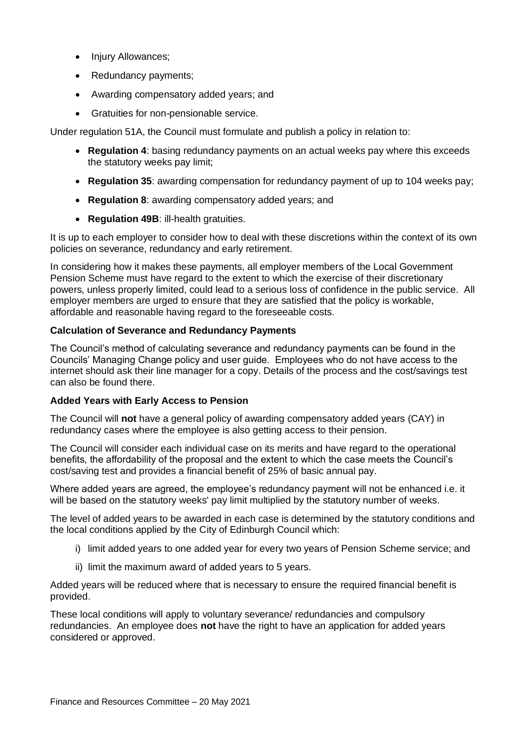- Injury Allowances:
- Redundancy payments;
- Awarding compensatory added years; and
- Gratuities for non-pensionable service.

Under regulation 51A, the Council must formulate and publish a policy in relation to:

- **Regulation 4**: basing redundancy payments on an actual weeks pay where this exceeds the statutory weeks pay limit;
- **Regulation 35**: awarding compensation for redundancy payment of up to 104 weeks pay;
- **Regulation 8**: awarding compensatory added years; and
- **Regulation 49B**: ill-health gratuities.

It is up to each employer to consider how to deal with these discretions within the context of its own policies on severance, redundancy and early retirement.

In considering how it makes these payments, all employer members of the Local Government Pension Scheme must have regard to the extent to which the exercise of their discretionary powers, unless properly limited, could lead to a serious loss of confidence in the public service. All employer members are urged to ensure that they are satisfied that the policy is workable, affordable and reasonable having regard to the foreseeable costs.

#### **Calculation of Severance and Redundancy Payments**

The Council's method of calculating severance and redundancy payments can be found in the Councils' Managing Change policy and user guide. Employees who do not have access to the internet should ask their line manager for a copy. Details of the process and the cost/savings test can also be found there.

#### **Added Years with Early Access to Pension**

The Council will **not** have a general policy of awarding compensatory added years (CAY) in redundancy cases where the employee is also getting access to their pension.

The Council will consider each individual case on its merits and have regard to the operational benefits, the affordability of the proposal and the extent to which the case meets the Council's cost/saving test and provides a financial benefit of 25% of basic annual pay.

Where added years are agreed, the employee's redundancy payment will not be enhanced i.e. it will be based on the statutory weeks' pay limit multiplied by the statutory number of weeks.

The level of added years to be awarded in each case is determined by the statutory conditions and the local conditions applied by the City of Edinburgh Council which:

- i) limit added years to one added year for every two years of Pension Scheme service; and
- ii) limit the maximum award of added years to 5 years.

Added years will be reduced where that is necessary to ensure the required financial benefit is provided.

These local conditions will apply to voluntary severance/ redundancies and compulsory redundancies. An employee does **not** have the right to have an application for added years considered or approved.